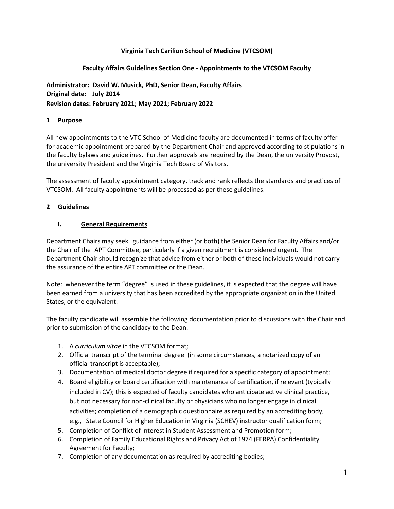### **Virginia Tech Carilion School of Medicine (VTCSOM)**

### **Faculty Affairs Guidelines Section One - Appointments to the VTCSOM Faculty**

**Administrator: David W. Musick, PhD, Senior Dean, Faculty Affairs Original date: July 2014 Revision dates: February 2021; May 2021; February 2022**

#### **1 Purpose**

All new appointments to the VTC School of Medicine faculty are documented in terms of faculty offer for academic appointment prepared by the Department Chair and approved according to stipulations in the faculty bylaws and guidelines. Further approvals are required by the Dean, the university Provost, the university President and the Virginia Tech Board of Visitors.

The assessment of faculty appointment category, track and rank reflects the standards and practices of VTCSOM. All faculty appointments will be processed as per these guidelines.

#### **2 Guidelines**

#### **I. General Requirements**

Department Chairs may seek guidance from either (or both) the Senior Dean for Faculty Affairs and/or the Chair of the APT Committee, particularly if a given recruitment is considered urgent. The Department Chair should recognize that advice from either or both of these individuals would not carry the assurance of the entire APT committee or the Dean.

Note: whenever the term "degree" is used in these guidelines, it is expected that the degree will have been earned from a university that has been accredited by the appropriate organization in the United States, or the equivalent.

The faculty candidate will assemble the following documentation prior to discussions with the Chair and prior to submission of the candidacy to the Dean:

- 1. A *curriculum vitae* in the VTCSOM format;
- 2. Official transcript of the terminal degree (in some circumstances, a notarized copy of an official transcript is acceptable);
- 3. Documentation of medical doctor degree if required for a specific category of appointment;
- 4. Board eligibility or board certification with maintenance of certification, if relevant (typically included in CV); this is expected of faculty candidates who anticipate active clinical practice, but not necessary for non-clinical faculty or physicians who no longer engage in clinical activities; completion of a demographic questionnaire as required by an accrediting body, e.g., State Council for Higher Education in Virginia (SCHEV) instructor qualification form;
- 5. Completion of Conflict of Interest in Student Assessment and Promotion form;
- 6. Completion of Family Educational Rights and Privacy Act of 1974 (FERPA) Confidentiality Agreement for Faculty;
- 7. Completion of any documentation as required by accrediting bodies;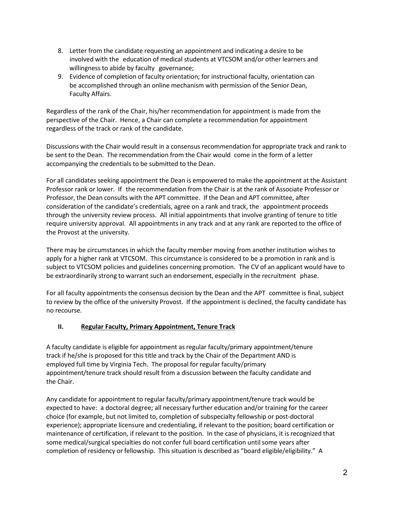- 8. Letter from the candidate requesting an appointment and indicating a desire to be involved with the education of medical students at VTCSOM and/or other learners and willingness to abide by faculty governance;
- 9. Evidence of completion of faculty orientation; for instructional faculty, orientation can be accomplished through an online mechanism with permission of the Senior Dean, Faculty Affairs.

Regardless of the rank of the Chair, his/her recommendation for appointment is made from the perspective of the Chair. Hence, a Chair can complete a recommendation for appointment regardless of the track or rank of the candidate.

Discussions with the Chair would result in a consensus recommendation for appropriate track and rank to be sent to the Dean. The recommendation from the Chair would come in the form of a letter accompanying the credentials to be submitted to the Dean.

For all candidates seeking appointment the Dean is empowered to make the appointment at the Assistant Professor rank or lower. If the recommendation from the Chair is at the rank of Associate Professor or Professor, the Dean consults with the APT committee. If the Dean and APT committee, after consideration of the candidate's credentials, agree on a rank and track, the appointment proceeds through the university review process. All initial appointments that involve granting of tenure to title require university approval. All appointments in any track and at any rank are reported to the office of the Provost at the university.

There may be circumstances in which the faculty member moving from another institution wishes to apply for a higher rank at VTCSOM. This circumstance is considered to be a promotion in rank and is subject to VTCSOM policies and guidelines concerning promotion. The CV of an applicant would have to be extraordinarily strong to warrant such an endorsement, especially in the recruitment phase.

For all faculty appointments the consensus decision by the Dean and the APT committee is final, subject to review by the office of the university Provost. If the appointment is declined, the faculty candidate has no recourse.

### **II. Regular Faculty, Primary Appointment, Tenure Track**

A faculty candidate is eligible for appointment asregular faculty/primary appointment/tenure track if he/she is proposed for this title and track by the Chair of the Department AND is employed full time by Virginia Tech. The proposal for regular faculty/primary appointment/tenure track should result from a discussion between the faculty candidate and the Chair.

Any candidate for appointment to regular faculty/primary appointment/tenure track would be expected to have: a doctoral degree; all necessary further education and/or training for the career choice (for example, but not limited to, completion of subspecialty fellowship or post-doctoral experience); appropriate licensure and credentialing, if relevant to the position; board certification or maintenance of certification, if relevant to the position. In the case of physicians, it is recognized that some medical/surgical specialties do not confer full board certification untilsome years after completion of residency or fellowship. This situation is described as "board eligible/eligibility." A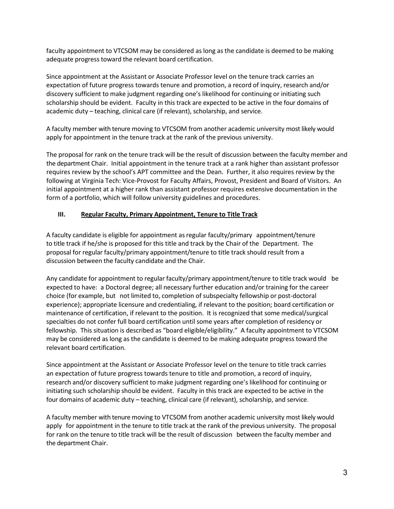faculty appointment to VTCSOM may be considered as long as the candidate is deemed to be making adequate progress toward the relevant board certification.

Since appointment at the Assistant or Associate Professor level on the tenure track carries an expectation of future progress towards tenure and promotion, a record of inquiry, research and/or discovery sufficient to make judgment regarding one's likelihood for continuing or initiating such scholarship should be evident. Faculty in this track are expected to be active in the four domains of academic duty – teaching, clinical care (if relevant), scholarship, and service.

A faculty member with tenure moving to VTCSOM from another academic university most likely would apply for appointment in the tenure track at the rank of the previous university.

The proposal for rank on the tenure track will be the result of discussion between the faculty member and the department Chair. Initial appointment in the tenure track at a rank higher than assistant professor requires review by the school's APT committee and the Dean. Further, it also requires review by the following at Virginia Tech: Vice-Provost for Faculty Affairs, Provost, President and Board of Visitors. An initial appointment at a higher rank than assistant professor requires extensive documentation in the form of a portfolio, which will follow university guidelines and procedures.

# **III. Regular Faculty, Primary Appointment, Tenure to Title Track**

A faculty candidate is eligible for appointment asregular faculty/primary appointment/tenure to title track if he/she is proposed for this title and track by the Chair of the Department. The proposal for regular faculty/primary appointment/tenure to title track should result from a discussion between the faculty candidate and the Chair.

Any candidate for appointment to regular faculty/primary appointment/tenure to title track would be expected to have: a Doctoral degree; all necessary further education and/or training for the career choice (for example, but not limited to, completion of subspecialty fellowship or post-doctoral experience); appropriate licensure and credentialing, if relevant to the position; board certification or maintenance of certification, if relevant to the position. It is recognized that some medical/surgical specialties do not confer full board certification until some years after completion of residency or fellowship. This situation is described as "board eligible/eligibility." A faculty appointment to VTCSOM may be considered as long as the candidate is deemed to be making adequate progress toward the relevant board certification.

Since appointment at the Assistant or Associate Professor level on the tenure to title track carries an expectation of future progress towards tenure to title and promotion, a record of inquiry, research and/or discovery sufficient to make judgment regarding one's likelihood for continuing or initiating such scholarship should be evident. Faculty in this track are expected to be active in the four domains of academic duty – teaching, clinical care (if relevant), scholarship, and service.

A faculty member with tenure moving to VTCSOM from another academic university most likely would apply for appointment in the tenure to title track at the rank of the previous university. The proposal for rank on the tenure to title track will be the result of discussion between the faculty member and the department Chair.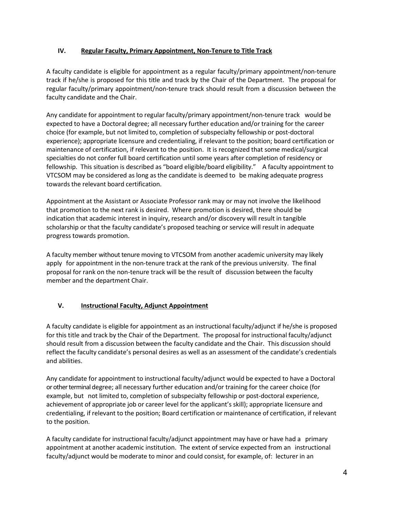## **IV. Regular Faculty, Primary Appointment, Non-Tenure to Title Track**

A faculty candidate is eligible for appointment as a regular faculty/primary appointment/non-tenure track if he/she is proposed for this title and track by the Chair of the Department. The proposal for regular faculty/primary appointment/non-tenure track should result from a discussion between the faculty candidate and the Chair.

Any candidate for appointment to regular faculty/primary appointment/non-tenure track would be expected to have a Doctoral degree; all necessary further education and/or training for the career choice (for example, but not limited to, completion of subspecialty fellowship or post-doctoral experience); appropriate licensure and credentialing, if relevant to the position; board certification or maintenance of certification, if relevant to the position. It is recognized that some medical/surgical specialties do not confer full board certification until some years after completion of residency or fellowship. This situation is described as "board eligible/board eligibility." A faculty appointment to VTCSOM may be considered as long as the candidate is deemed to be making adequate progress towards the relevant board certification.

Appointment at the Assistant or Associate Professor rank may or may not involve the likelihood that promotion to the next rank is desired. Where promotion is desired, there should be indication that academic interest in inquiry, research and/or discovery will result in tangible scholarship or that the faculty candidate's proposed teaching or service will result in adequate progress towards promotion.

A faculty member without tenure moving to VTCSOM from another academic university may likely apply for appointment in the non-tenure track at the rank of the previous university. The final proposal for rank on the non-tenure track will be the result of discussion between the faculty member and the department Chair.

# **V. Instructional Faculty, Adjunct Appointment**

A faculty candidate is eligible for appointment as an instructional faculty/adjunct if he/she is proposed for this title and track by the Chair of the Department. The proposal for instructional faculty/adjunct should result from a discussion between the faculty candidate and the Chair. This discussion should reflect the faculty candidate's personal desires as well as an assessment of the candidate's credentials and abilities.

Any candidate for appointment to instructional faculty/adjunct would be expected to have a Doctoral or other terminal degree; all necessary further education and/or training for the career choice (for example, but not limited to, completion of subspecialty fellowship or post-doctoral experience, achievement of appropriate job or career level for the applicant's skill); appropriate licensure and credentialing, if relevant to the position; Board certification or maintenance of certification, if relevant to the position.

A faculty candidate for instructional faculty/adjunct appointment may have or have had a primary appointment at another academic institution. The extent of service expected from an instructional faculty/adjunct would be moderate to minor and could consist, for example, of: lecturer in an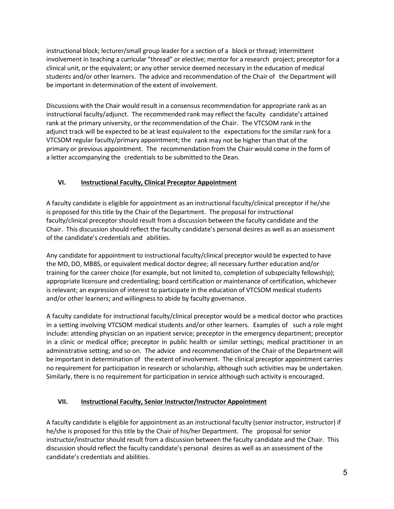instructional block; lecturer/small group leader for a section of a block or thread; intermittent involvement in teaching a curricular "thread" or elective; mentor for a research project; preceptor for a clinical unit, or the equivalent; or any other service deemed necessary in the education of medical students and/or other learners. The advice and recommendation of the Chair of the Department will be important in determination of the extent of involvement.

Discussions with the Chair would result in a consensus recommendation for appropriate rank as an instructional faculty/adjunct. The recommended rank may reflect the faculty candidate's attained rank at the primary university, or the recommendation of the Chair. The VTCSOM rank in the adjunct track will be expected to be at least equivalent to the expectations for the similar rank for a VTCSOM regular faculty/primary appointment; the rank may not be higher than that of the primary or previous appointment. The recommendation from the Chair would come in the form of a letter accompanying the credentials to be submitted to the Dean.

# **VI. Instructional Faculty, Clinical Preceptor Appointment**

A faculty candidate is eligible for appointment as an instructional faculty/clinical preceptor if he/she is proposed for this title by the Chair of the Department. The proposal for instructional faculty/clinical preceptor should result from a discussion between the faculty candidate and the Chair. This discussion should reflect the faculty candidate's personal desires as well as an assessment of the candidate's credentials and abilities.

Any candidate for appointment to instructional faculty/clinical preceptor would be expected to have the MD, DO, MBBS, or equivalent medical doctor degree; all necessary further education and/or training for the career choice (for example, but not limited to, completion of subspecialty fellowship); appropriate licensure and credentialing; board certification or maintenance of certification, whichever is relevant; an expression of interest to participate in the education of VTCSOM medical students and/or other learners; and willingness to abide by faculty governance.

A faculty candidate for instructional faculty/clinical preceptor would be a medical doctor who practices in a setting involving VTCSOM medical students and/or other learners. Examples of such a role might include: attending physician on an inpatient service; preceptor in the emergency department; preceptor in a clinic or medical office; preceptor in public health or similar settings; medical practitioner in an administrative setting; and so on. The advice and recommendation of the Chair of the Department will be important in determination of the extent of involvement. The clinical preceptor appointment carries no requirement for participation in research or scholarship, although such activities may be undertaken. Similarly, there is no requirement for participation in service although such activity is encouraged.

# **VII. Instructional Faculty, Senior Instructor/Instructor Appointment**

A faculty candidate is eligible for appointment as an instructional faculty (senior instructor, instructor) if he/she is proposed for this title by the Chair of his/her Department. The proposal for senior instructor/instructor should result from a discussion between the faculty candidate and the Chair. This discussion should reflect the faculty candidate's personal desires as well as an assessment of the candidate's credentials and abilities.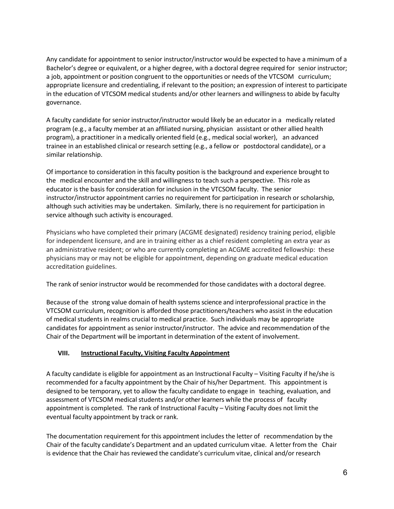Any candidate for appointment to senior instructor/instructor would be expected to have a minimum of a Bachelor's degree or equivalent, or a higher degree, with a doctoral degree required for senior instructor; a job, appointment or position congruent to the opportunities or needs of the VTCSOM curriculum; appropriate licensure and credentialing, if relevant to the position; an expression of interest to participate in the education of VTCSOM medical students and/or other learners and willingness to abide by faculty governance.

A faculty candidate for senior instructor/instructor would likely be an educator in a medically related program (e.g., a faculty member at an affiliated nursing, physician assistant or other allied health program), a practitioner in a medically oriented field (e.g., medical social worker), an advanced trainee in an established clinical or research setting (e.g., a fellow or postdoctoral candidate), or a similar relationship.

Of importance to consideration in this faculty position is the background and experience brought to the medical encounter and the skill and willingness to teach such a perspective. This role as educator is the basis for consideration for inclusion in the VTCSOM faculty. The senior instructor/instructor appointment carries no requirement for participation in research or scholarship, although such activities may be undertaken. Similarly, there is no requirement for participation in service although such activity is encouraged.

Physicians who have completed their primary (ACGME designated) residency training period, eligible for independent licensure, and are in training either as a chief resident completing an extra year as an administrative resident; or who are currently completing an ACGME accredited fellowship: these physicians may or may not be eligible for appointment, depending on graduate medical education accreditation guidelines.

The rank of senior instructor would be recommended for those candidates with a doctoral degree.

Because of the strong value domain of health systems science and interprofessional practice in the VTCSOM curriculum, recognition is afforded those practitioners/teachers who assist in the education of medical students in realms crucial to medical practice. Such individuals may be appropriate candidates for appointment as senior instructor/instructor. The advice and recommendation of the Chair of the Department will be important in determination of the extent of involvement.

### **VIII. Instructional Faculty, Visiting Faculty Appointment**

A faculty candidate is eligible for appointment as an Instructional Faculty – Visiting Faculty if he/she is recommended for a faculty appointment by the Chair of his/her Department. This appointment is designed to be temporary, yet to allow the faculty candidate to engage in teaching, evaluation, and assessment of VTCSOM medical students and/or other learners while the process of faculty appointment is completed. The rank of Instructional Faculty – Visiting Faculty does not limit the eventual faculty appointment by track or rank.

The documentation requirement for this appointment includes the letter of recommendation by the Chair of the faculty candidate's Department and an updated curriculum vitae. A letter from the Chair is evidence that the Chair has reviewed the candidate's curriculum vitae, clinical and/or research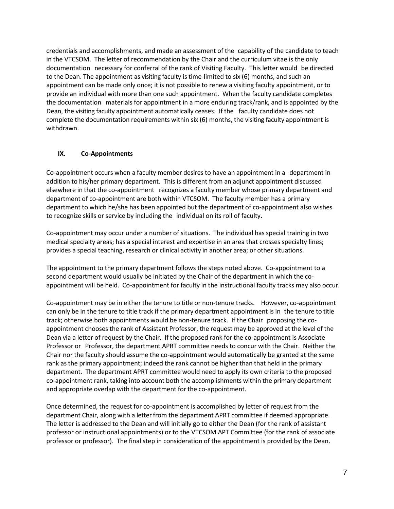credentials and accomplishments, and made an assessment of the capability of the candidate to teach in the VTCSOM. The letter of recommendation by the Chair and the curriculum vitae is the only documentation necessary for conferral of the rank of Visiting Faculty. This letter would be directed to the Dean. The appointment as visiting faculty is time-limited to six (6) months, and such an appointment can be made only once; it is not possible to renew a visiting faculty appointment, or to provide an individual with more than one such appointment. When the faculty candidate completes the documentation materials for appointment in a more enduring track/rank, and is appointed by the Dean, the visiting faculty appointment automatically ceases. If the faculty candidate does not complete the documentation requirements within six (6) months, the visiting faculty appointment is withdrawn.

### **IX. Co-Appointments**

Co-appointment occurs when a faculty member desires to have an appointment in a department in addition to his/her primary department. This is different from an adjunct appointment discussed elsewhere in that the co-appointment recognizes a faculty member whose primary department and department of co-appointment are both within VTCSOM. The faculty member has a primary department to which he/she has been appointed but the department of co-appointment also wishes to recognize skills or service by including the individual on its roll of faculty.

Co-appointment may occur under a number of situations. The individual has special training in two medical specialty areas; has a special interest and expertise in an area that crosses specialty lines; provides a special teaching, research or clinical activity in another area; or other situations.

The appointment to the primary department follows the steps noted above. Co-appointment to a second department would usually be initiated by the Chair of the department in which the coappointment will be held. Co-appointment for faculty in the instructional faculty tracks may also occur.

Co-appointment may be in either the tenure to title or non-tenure tracks. However, co-appointment can only be in the tenure to title track if the primary department appointment is in the tenure to title track; otherwise both appointments would be non-tenure track. If the Chair proposing the coappointment chooses the rank of Assistant Professor, the request may be approved at the level of the Dean via a letter of request by the Chair. If the proposed rank for the co-appointment is Associate Professor or Professor, the department APRT committee needs to concur with the Chair. Neither the Chair nor the faculty should assume the co-appointment would automatically be granted at the same rank as the primary appointment; indeed the rank cannot be higher than that held in the primary department. The department APRT committee would need to apply its own criteria to the proposed co-appointment rank, taking into account both the accomplishments within the primary department and appropriate overlap with the department for the co-appointment.

Once determined, the request for co-appointment is accomplished by letter of request from the department Chair, along with a letter from the department APRT committee if deemed appropriate. The letter is addressed to the Dean and will initially go to either the Dean (for the rank of assistant professor or instructional appointments) or to the VTCSOM APT Committee (for the rank of associate professor or professor). The final step in consideration of the appointment is provided by the Dean.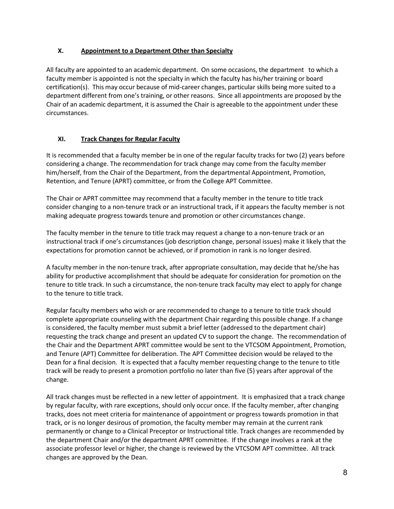## **X. Appointment to a Department Other than Specialty**

All faculty are appointed to an academic department. On some occasions, the department to which a faculty member is appointed is not the specialty in which the faculty has his/her training or board certification(s). This may occur because of mid-career changes, particular skills being more suited to a department different from one's training, or other reasons. Since all appointments are proposed by the Chair of an academic department, it is assumed the Chair is agreeable to the appointment under these circumstances.

# **XI. Track Changes for Regular Faculty**

It is recommended that a faculty member be in one of the regular faculty tracks for two (2) years before considering a change. The recommendation for track change may come from the faculty member him/herself, from the Chair of the Department, from the departmental Appointment, Promotion, Retention, and Tenure (APRT) committee, or from the College APT Committee.

The Chair or APRT committee may recommend that a faculty member in the tenure to title track consider changing to a non-tenure track or an instructional track, if it appears the faculty member is not making adequate progress towards tenure and promotion or other circumstances change.

The faculty member in the tenure to title track may request a change to a non-tenure track or an instructional track if one's circumstances (job description change, personal issues) make it likely that the expectations for promotion cannot be achieved, or if promotion in rank is no longer desired.

A faculty member in the non-tenure track, after appropriate consultation, may decide that he/she has ability for productive accomplishment that should be adequate for consideration for promotion on the tenure to title track. In such a circumstance, the non-tenure track faculty may elect to apply for change to the tenure to title track.

Regular faculty members who wish or are recommended to change to a tenure to title track should complete appropriate counseling with the department Chair regarding this possible change. If a change is considered, the faculty member must submit a brief letter (addressed to the department chair) requesting the track change and present an updated CV to support the change. The recommendation of the Chair and the Department APRT committee would be sent to the VTCSOM Appointment, Promotion, and Tenure (APT) Committee for deliberation. The APT Committee decision would be relayed to the Dean for a final decision. It is expected that a faculty member requesting change to the tenure to title track will be ready to present a promotion portfolio no later than five (5) years after approval of the change.

All track changes must be reflected in a new letter of appointment. It is emphasized that a track change by regular faculty, with rare exceptions, should only occur once. If the faculty member, after changing tracks, does not meet criteria for maintenance of appointment or progress towards promotion in that track, or is no longer desirous of promotion, the faculty member may remain at the current rank permanently or change to a Clinical Preceptor or Instructional title. Track changes are recommended by the department Chair and/or the department APRT committee. If the change involves a rank at the associate professor level or higher, the change is reviewed by the VTCSOM APT committee. All track changes are approved by the Dean.